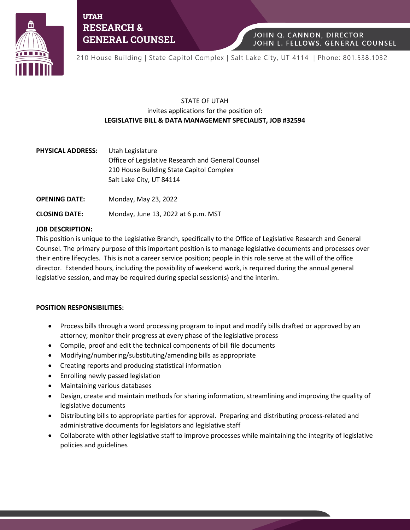

**UTAH RESEARCH & GENERAL COUNSEL** 

210 House Building | State Capitol Complex | Salt Lake City, UT 4114 | Phone: 801.538.1032

JOHN Q. CANNON, DIRECTOR

JOHN L. FELLOWS, GENERAL COUNSEL

# STATE OF UTAH invites applications for the position of: **LEGISLATIVE BILL & DATA MANAGEMENT SPECIALIST, JOB #32594**

| <b>PHYSICAL ADDRESS:</b> | Utah Legislature                                   |
|--------------------------|----------------------------------------------------|
|                          | Office of Legislative Research and General Counsel |
|                          | 210 House Building State Capitol Complex           |
|                          | Salt Lake City, UT 84114                           |

**OPENING DATE:** Monday, May 23, 2022

**CLOSING DATE:** Monday, June 13, 2022 at 6 p.m. MST

## **JOB DESCRIPTION:**

This position is unique to the Legislative Branch, specifically to the Office of Legislative Research and General Counsel. The primary purpose of this important position is to manage legislative documents and processes over their entire lifecycles. This is not a career service position; people in this role serve at the will of the office director. Extended hours, including the possibility of weekend work, is required during the annual general legislative session, and may be required during special session(s) and the interim.

## **POSITION RESPONSIBILITIES:**

- Process bills through a word processing program to input and modify bills drafted or approved by an attorney; monitor their progress at every phase of the legislative process
- Compile, proof and edit the technical components of bill file documents
- Modifying/numbering/substituting/amending bills as appropriate
- Creating reports and producing statistical information
- Enrolling newly passed legislation
- Maintaining various databases
- Design, create and maintain methods for sharing information, streamlining and improving the quality of legislative documents
- Distributing bills to appropriate parties for approval. Preparing and distributing process-related and administrative documents for legislators and legislative staff
- Collaborate with other legislative staff to improve processes while maintaining the integrity of legislative policies and guidelines